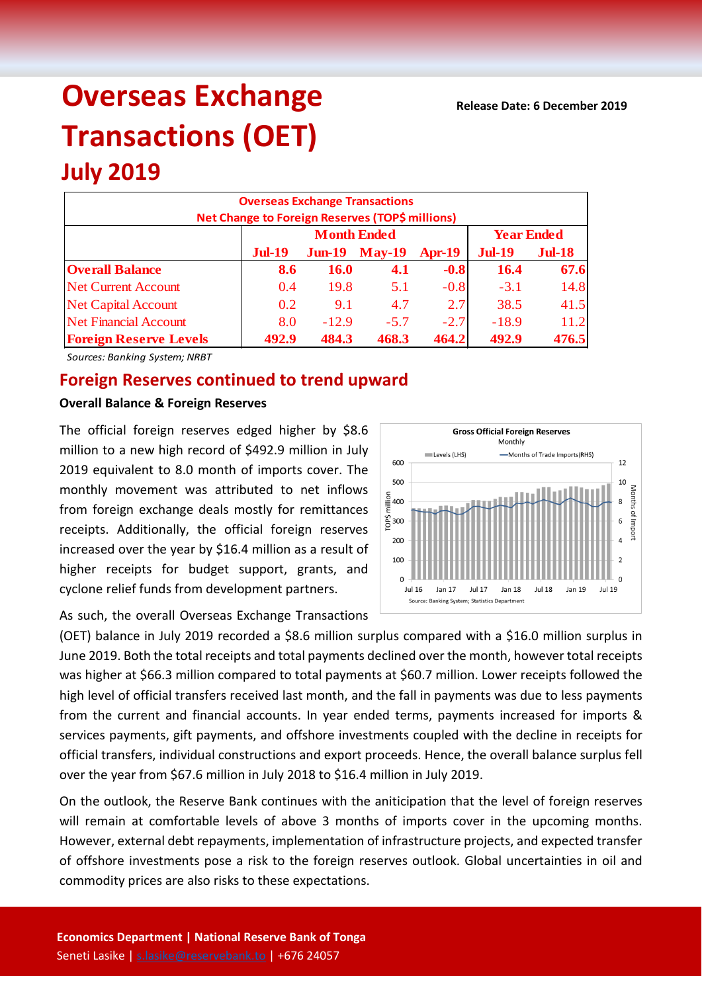# **Overseas Exchange Transactions (OET)**

## **July 2019 Overseas Exchange Transactions Net Change to Foreign Reserves (TOP\$ millions) Jul-19 Jun-19 May-19 Apr-19 Jul-19 Jul-18 Overall Balance 8.6 16.0 4.1 -0.8 16.4 67.6** Net Current Account 1 0.4 19.8 5.1 -0.8 -3.1 14.8 Net Capital Account 1 0.2 9.1 4.7 2.7 38.5 41.5 Net Financial Account  $8.0 \t -12.9 \t -5.7 \t -2.7 \t -18.9 \t 11.2$ **Foreign Reserve Levels 492.9 484.3 468.3 464.2 492.9 476.5 Month Ended Year Ended**

*Sources: Banking System; NRBT*

# **Foreign Reserves continued to trend upward**

#### **Overall Balance & Foreign Reserves**

The official foreign reserves edged higher by \$8.6 million to a new high record of \$492.9 million in July 2019 equivalent to 8.0 month of imports cover. The monthly movement was attributed to net inflows from foreign exchange deals mostly for remittances receipts. Additionally, the official foreign reserves increased over the year by \$16.4 million as a result of higher receipts for budget support, grants, and cyclone relief funds from development partners.



As such, the overall Overseas Exchange Transactions

(OET) balance in July 2019 recorded a \$8.6 million surplus compared with a \$16.0 million surplus in June 2019. Both the total receipts and total payments declined over the month, however total receipts was higher at \$66.3 million compared to total payments at \$60.7 million. Lower receipts followed the high level of official transfers received last month, and the fall in payments was due to less payments from the current and financial accounts. In year ended terms, payments increased for imports & services payments, gift payments, and offshore investments coupled with the decline in receipts for official transfers, individual constructions and export proceeds. Hence, the overall balance surplus fell over the year from \$67.6 million in July 2018 to \$16.4 million in July 2019.

On the outlook, the Reserve Bank continues with the aniticipation that the level of foreign reserves will remain at comfortable levels of above 3 months of imports cover in the upcoming months. However, external debt repayments, implementation of infrastructure projects, and expected transfer of offshore investments pose a risk to the foreign reserves outlook. Global uncertainties in oil and commodity prices are also risks to these expectations.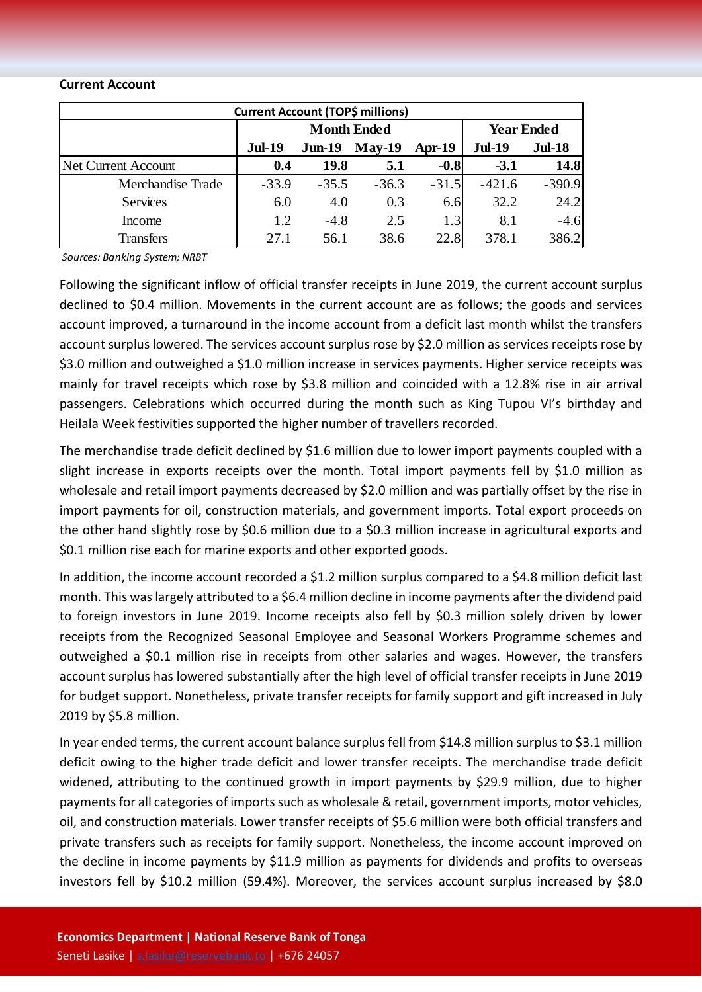#### **Current Account**

| <b>Current Account (TOP\$ millions)</b> |                    |          |          |          |                   |               |  |  |  |
|-----------------------------------------|--------------------|----------|----------|----------|-------------------|---------------|--|--|--|
|                                         | <b>Month Ended</b> |          |          |          | <b>Year Ended</b> |               |  |  |  |
|                                         | <b>Jul-19</b>      | $Jun-19$ | $May-19$ | $Apr-19$ | <b>Jul-19</b>     | <b>Jul-18</b> |  |  |  |
| Net Current Account                     | 0.4                | 19.8     | 5.1      | $-0.8$   | $-3.1$            | 14.8          |  |  |  |
| Merchandise Trade                       | $-33.9$            | $-35.5$  | $-36.3$  | $-31.5$  | $-421.6$          | $-390.9$      |  |  |  |
| <b>Services</b>                         | 6.0                | 4.0      | 0.3      | 6.6      | 32.2              | 24.2          |  |  |  |
| Income                                  | 1.2                | $-4.8$   | 2.5      | 1.3      | 8.1               | $-4.6$        |  |  |  |
| <b>Transfers</b>                        | 27.1               | 56.1     | 38.6     | 22.8     | 378.1             | 386.2         |  |  |  |

*Sources: Banking System; NRBT*

Following the significant inflow of official transfer receipts in June 2019, the current account surplus declined to \$0.4 million. Movements in the current account are as follows; the goods and services account improved, a turnaround in the income account from a deficit last month whilst the transfers account surplus lowered. The services account surplus rose by \$2.0 million as services receipts rose by \$3.0 million and outweighed a \$1.0 million increase in services payments. Higher service receipts was mainly for travel receipts which rose by \$3.8 million and coincided with a 12.8% rise in air arrival passengers. Celebrations which occurred during the month such as King Tupou VI's birthday and Heilala Week festivities supported the higher number of travellers recorded.

The merchandise trade deficit declined by \$1.6 million due to lower import payments coupled with a slight increase in exports receipts over the month. Total import payments fell by \$1.0 million as wholesale and retail import payments decreased by \$2.0 million and was partially offset by the rise in import payments for oil, construction materials, and government imports. Total export proceeds on the other hand slightly rose by \$0.6 million due to a \$0.3 million increase in agricultural exports and \$0.1 million rise each for marine exports and other exported goods.

In addition, the income account recorded a \$1.2 million surplus compared to a \$4.8 million deficit last month. This was largely attributed to a \$6.4 million decline in income payments after the dividend paid to foreign investors in June 2019. Income receipts also fell by \$0.3 million solely driven by lower receipts from the Recognized Seasonal Employee and Seasonal Workers Programme schemes and outweighed a \$0.1 million rise in receipts from other salaries and wages. However, the transfers account surplus has lowered substantially after the high level of official transfer receipts in June 2019 for budget support. Nonetheless, private transfer receipts for family support and gift increased in July 2019 by \$5.8 million.

In year ended terms, the current account balance surplus fell from \$14.8 million surplus to \$3.1 million deficit owing to the higher trade deficit and lower transfer receipts. The merchandise trade deficit widened, attributing to the continued growth in import payments by \$29.9 million, due to higher payments for all categories of imports such as wholesale & retail, government imports, motor vehicles, oil, and construction materials. Lower transfer receipts of \$5.6 million were both official transfers and private transfers such as receipts for family support. Nonetheless, the income account improved on the decline in income payments by \$11.9 million as payments for dividends and profits to overseas investors fell by \$10.2 million (59.4%). Moreover, the services account surplus increased by \$8.0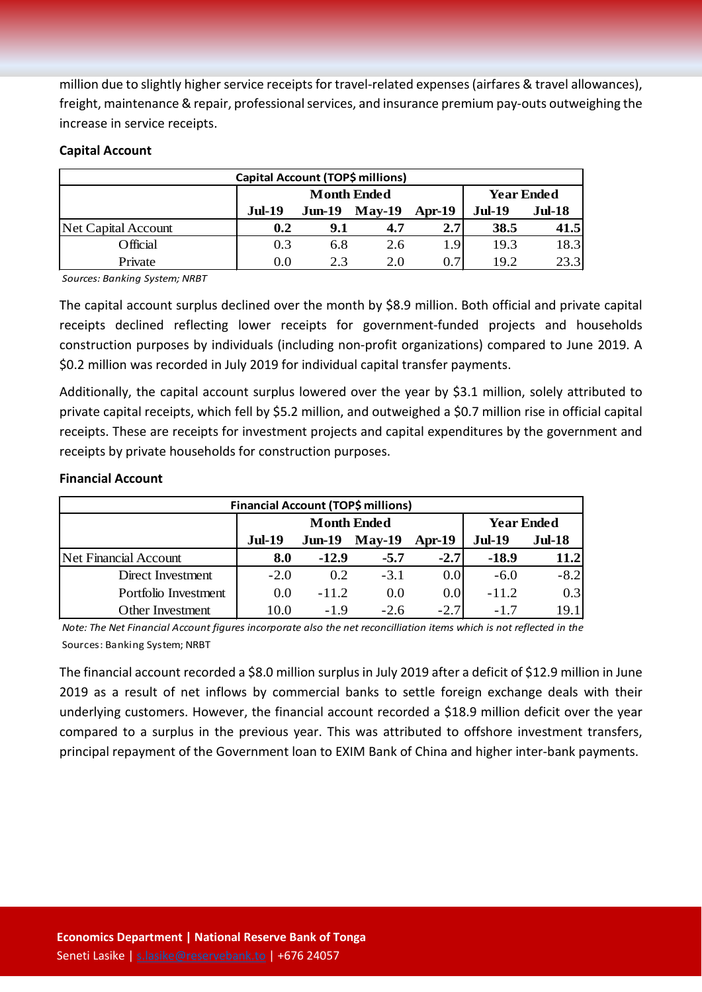million due to slightly higher service receipts for travel-related expenses (airfares & travel allowances), freight, maintenance & repair, professional services, and insurance premium pay-outs outweighing the increase in service receipts.

### **Capital Account**

| Capital Account (TOP\$ millions) |                    |          |               |          |                   |          |  |
|----------------------------------|--------------------|----------|---------------|----------|-------------------|----------|--|
|                                  | <b>Month Ended</b> |          |               |          | <b>Year Ended</b> |          |  |
|                                  | <b>Jul-19</b>      | $Jun-19$ | <b>May-19</b> | $Apr-19$ | <b>Jul-19</b>     | $Jul-18$ |  |
| Net Capital Account              | 0.2                | 9.1      | 4.7           | 2.7      | 38.5              | 41.5     |  |
| Official                         | 0.3                | 6.8      | 2.6           | 1.9'     | 19.3              | 18.3     |  |
| Private                          | 0.0                | 2.3      | 2.0           | 0.7      | 19.2              | 23.3     |  |

*Sources: Banking System; NRBT*

The capital account surplus declined over the month by \$8.9 million. Both official and private capital receipts declined reflecting lower receipts for government-funded projects and households construction purposes by individuals (including non-profit organizations) compared to June 2019. A \$0.2 million was recorded in July 2019 for individual capital transfer payments.

Additionally, the capital account surplus lowered over the year by \$3.1 million, solely attributed to private capital receipts, which fell by \$5.2 million, and outweighed a \$0.7 million rise in official capital receipts. These are receipts for investment projects and capital expenditures by the government and receipts by private households for construction purposes.

## **Financial Account**

| <b>Financial Account (TOP\$ millions)</b> |               |                    |                   |                  |               |               |  |  |
|-------------------------------------------|---------------|--------------------|-------------------|------------------|---------------|---------------|--|--|
|                                           |               | <b>Month Ended</b> | <b>Year Ended</b> |                  |               |               |  |  |
|                                           | <b>Jul-19</b> | $Jun-19$           | $May-19$          | Apr-19           | <b>Jul-19</b> | <b>Jul-18</b> |  |  |
| Net Financial Account                     | 8.0           | $-12.9$            | $-5.7$            | $-2.7$           | $-18.9$       | 11.2          |  |  |
| Direct Investment                         | $-2.0$        | 0.2                | $-3.1$            | 0.0 <sub>l</sub> | $-6.0$        | $-8.2$        |  |  |
| Portfolio Investment                      | 0.0           | $-11.2$            | 0.0               | 0.01             | $-11.2$       | 0.3           |  |  |
| Other Investment                          | 10.0          | $-19$              | $-2.6$            | $-2.7$           | -17           | 19.11         |  |  |

*Note: The Net Financial Account figures incorporate also the net reconcilliation items which is not reflected in the*  Sources: Banking System; NRBT

The financial account recorded a \$8.0 million surplus in July 2019 after a deficit of \$12.9 million in June 2019 as a result of net inflows by commercial banks to settle foreign exchange deals with their underlying customers. However, the financial account recorded a \$18.9 million deficit over the year compared to a surplus in the previous year. This was attributed to offshore investment transfers, principal repayment of the Government loan to EXIM Bank of China and higher inter-bank payments.